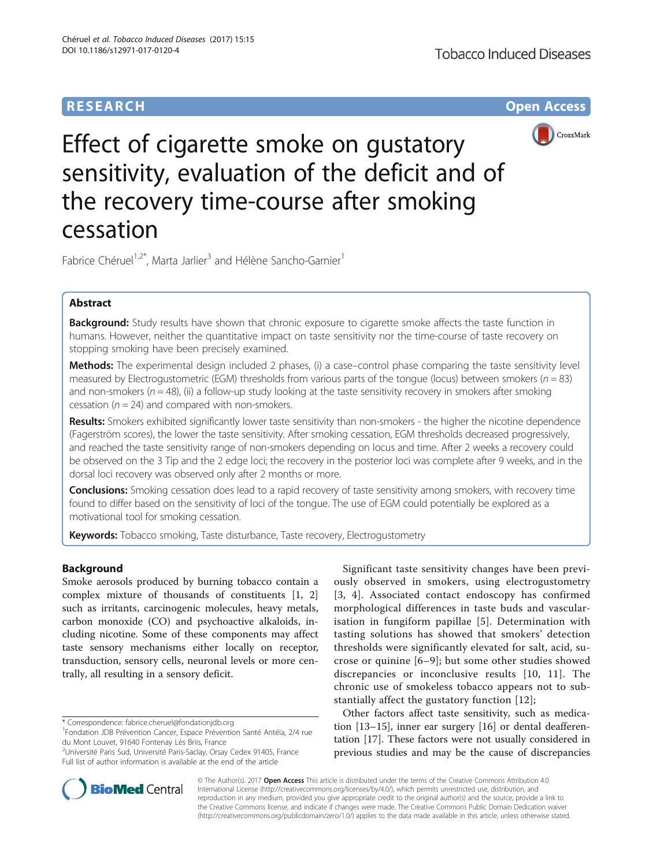# **RESEARCH CHE Open Access**



Effect of cigarette smoke on gustatory sensitivity, evaluation of the deficit and of the recovery time-course after smoking cessation

Fabrice Chéruel<sup>1,2\*</sup>, Marta Jarlier<sup>3</sup> and Hélène Sancho-Garnier<sup>1</sup>

# Abstract

Background: Study results have shown that chronic exposure to cigarette smoke affects the taste function in humans. However, neither the quantitative impact on taste sensitivity nor the time-course of taste recovery on stopping smoking have been precisely examined.

Methods: The experimental design included 2 phases, (i) a case–control phase comparing the taste sensitivity level measured by Electrogustometric (EGM) thresholds from various parts of the tongue (locus) between smokers ( $n = 83$ ) and non-smokers ( $n = 48$ ), (ii) a follow-up study looking at the taste sensitivity recovery in smokers after smoking cessation ( $n = 24$ ) and compared with non-smokers.

Results: Smokers exhibited significantly lower taste sensitivity than non-smokers - the higher the nicotine dependence (Fagerström scores), the lower the taste sensitivity. After smoking cessation, EGM thresholds decreased progressively, and reached the taste sensitivity range of non-smokers depending on locus and time. After 2 weeks a recovery could be observed on the 3 Tip and the 2 edge loci; the recovery in the posterior loci was complete after 9 weeks, and in the dorsal loci recovery was observed only after 2 months or more.

**Conclusions:** Smoking cessation does lead to a rapid recovery of taste sensitivity among smokers, with recovery time found to differ based on the sensitivity of loci of the tongue. The use of EGM could potentially be explored as a motivational tool for smoking cessation.

Keywords: Tobacco smoking, Taste disturbance, Taste recovery, Electrogustometry

# Background

Smoke aerosols produced by burning tobacco contain a complex mixture of thousands of constituents [\[1](#page-6-0), [2](#page-6-0)] such as irritants, carcinogenic molecules, heavy metals, carbon monoxide (CO) and psychoactive alkaloids, including nicotine. Some of these components may affect taste sensory mechanisms either locally on receptor, transduction, sensory cells, neuronal levels or more centrally, all resulting in a sensory deficit.

\* Correspondence: [fabrice.cheruel@fondationjdb.org](mailto:fabrice.cheruel@fondationjdb.org) <sup>1</sup>

Significant taste sensitivity changes have been previously observed in smokers, using electrogustometry [[3](#page-6-0), [4](#page-6-0)]. Associated contact endoscopy has confirmed morphological differences in taste buds and vascularisation in fungiform papillae [[5](#page-6-0)]. Determination with tasting solutions has showed that smokers' detection thresholds were significantly elevated for salt, acid, sucrose or quinine [[6](#page-6-0)–[9](#page-6-0)]; but some other studies showed discrepancies or inconclusive results [[10, 11\]](#page-6-0). The chronic use of smokeless tobacco appears not to substantially affect the gustatory function [[12](#page-6-0)];

Other factors affect taste sensitivity, such as medication [[13](#page-6-0)–[15](#page-6-0)], inner ear surgery [[16\]](#page-6-0) or dental deafferentation [\[17\]](#page-6-0). These factors were not usually considered in previous studies and may be the cause of discrepancies



© The Author(s). 2017 **Open Access** This article is distributed under the terms of the Creative Commons Attribution 4.0 International License [\(http://creativecommons.org/licenses/by/4.0/](http://creativecommons.org/licenses/by/4.0/)), which permits unrestricted use, distribution, and reproduction in any medium, provided you give appropriate credit to the original author(s) and the source, provide a link to the Creative Commons license, and indicate if changes were made. The Creative Commons Public Domain Dedication waiver [\(http://creativecommons.org/publicdomain/zero/1.0/](http://creativecommons.org/publicdomain/zero/1.0/)) applies to the data made available in this article, unless otherwise stated.

Fondation JDB Prévention Cancer, Espace Prévention Santé Antéïa, 2/4 rue du Mont Louvet, 91640 Fontenay Lès Briis, France

<sup>&</sup>lt;sup>2</sup>Université Paris Sud, Université Paris-Saclay, Orsay Cedex 91405, France Full list of author information is available at the end of the article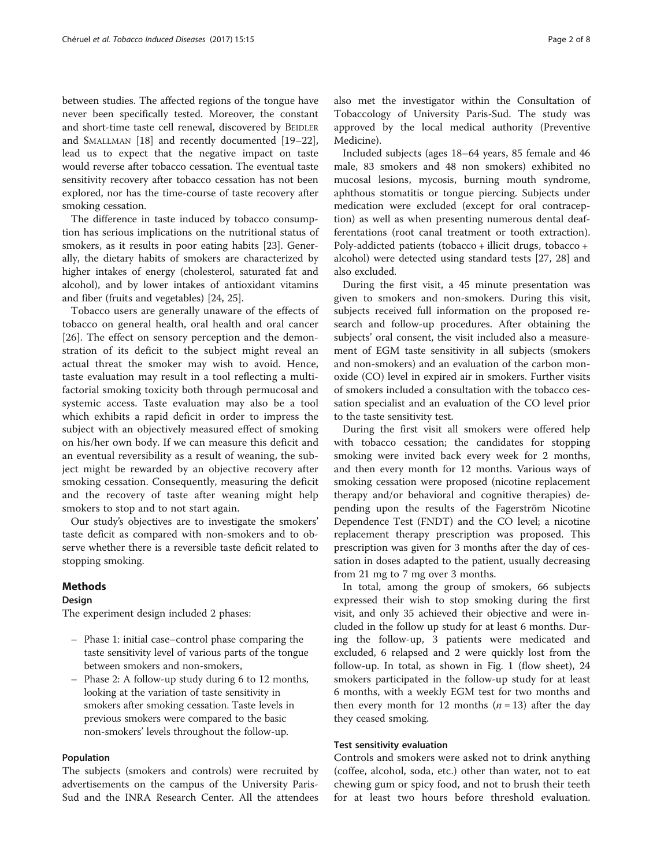between studies. The affected regions of the tongue have never been specifically tested. Moreover, the constant and short-time taste cell renewal, discovered by BEIDLER and SMALLMAN [\[18](#page-6-0)] and recently documented [[19](#page-6-0)–[22](#page-6-0)], lead us to expect that the negative impact on taste would reverse after tobacco cessation. The eventual taste sensitivity recovery after tobacco cessation has not been explored, nor has the time-course of taste recovery after smoking cessation.

The difference in taste induced by tobacco consumption has serious implications on the nutritional status of smokers, as it results in poor eating habits [\[23\]](#page-6-0). Generally, the dietary habits of smokers are characterized by higher intakes of energy (cholesterol, saturated fat and alcohol), and by lower intakes of antioxidant vitamins and fiber (fruits and vegetables) [\[24](#page-6-0), [25](#page-6-0)].

Tobacco users are generally unaware of the effects of tobacco on general health, oral health and oral cancer [[26\]](#page-6-0). The effect on sensory perception and the demonstration of its deficit to the subject might reveal an actual threat the smoker may wish to avoid. Hence, taste evaluation may result in a tool reflecting a multifactorial smoking toxicity both through permucosal and systemic access. Taste evaluation may also be a tool which exhibits a rapid deficit in order to impress the subject with an objectively measured effect of smoking on his/her own body. If we can measure this deficit and an eventual reversibility as a result of weaning, the subject might be rewarded by an objective recovery after smoking cessation. Consequently, measuring the deficit and the recovery of taste after weaning might help smokers to stop and to not start again.

Our study's objectives are to investigate the smokers' taste deficit as compared with non-smokers and to observe whether there is a reversible taste deficit related to stopping smoking.

### Methods

### **Design**

The experiment design included 2 phases:

- Phase 1: initial case–control phase comparing the taste sensitivity level of various parts of the tongue between smokers and non-smokers,
- Phase 2: A follow-up study during 6 to 12 months, looking at the variation of taste sensitivity in smokers after smoking cessation. Taste levels in previous smokers were compared to the basic non-smokers' levels throughout the follow-up.

### Population

The subjects (smokers and controls) were recruited by advertisements on the campus of the University Paris-Sud and the INRA Research Center. All the attendees also met the investigator within the Consultation of Tobaccology of University Paris-Sud. The study was approved by the local medical authority (Preventive Medicine).

Included subjects (ages 18–64 years, 85 female and 46 male, 83 smokers and 48 non smokers) exhibited no mucosal lesions, mycosis, burning mouth syndrome, aphthous stomatitis or tongue piercing. Subjects under medication were excluded (except for oral contraception) as well as when presenting numerous dental deafferentations (root canal treatment or tooth extraction). Poly-addicted patients (tobacco + illicit drugs, tobacco + alcohol) were detected using standard tests [\[27](#page-7-0), [28\]](#page-7-0) and also excluded.

During the first visit, a 45 minute presentation was given to smokers and non-smokers. During this visit, subjects received full information on the proposed research and follow-up procedures. After obtaining the subjects' oral consent, the visit included also a measurement of EGM taste sensitivity in all subjects (smokers and non-smokers) and an evaluation of the carbon monoxide (CO) level in expired air in smokers. Further visits of smokers included a consultation with the tobacco cessation specialist and an evaluation of the CO level prior to the taste sensitivity test.

During the first visit all smokers were offered help with tobacco cessation; the candidates for stopping smoking were invited back every week for 2 months, and then every month for 12 months. Various ways of smoking cessation were proposed (nicotine replacement therapy and/or behavioral and cognitive therapies) depending upon the results of the Fagerström Nicotine Dependence Test (FNDT) and the CO level; a nicotine replacement therapy prescription was proposed. This prescription was given for 3 months after the day of cessation in doses adapted to the patient, usually decreasing from 21 mg to 7 mg over 3 months.

In total, among the group of smokers, 66 subjects expressed their wish to stop smoking during the first visit, and only 35 achieved their objective and were included in the follow up study for at least 6 months. During the follow-up, 3 patients were medicated and excluded, 6 relapsed and 2 were quickly lost from the follow-up. In total, as shown in Fig. [1](#page-2-0) (flow sheet), 24 smokers participated in the follow-up study for at least 6 months, with a weekly EGM test for two months and then every month for 12 months  $(n = 13)$  after the day they ceased smoking.

# Test sensitivity evaluation

Controls and smokers were asked not to drink anything (coffee, alcohol, soda, etc.) other than water, not to eat chewing gum or spicy food, and not to brush their teeth for at least two hours before threshold evaluation.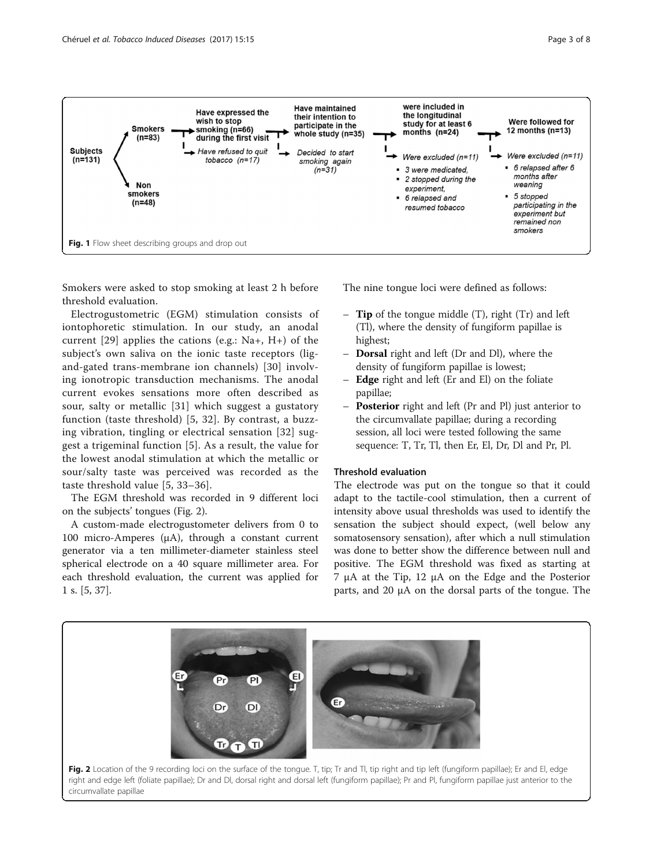<span id="page-2-0"></span>

Smokers were asked to stop smoking at least 2 h before threshold evaluation.

Electrogustometric (EGM) stimulation consists of iontophoretic stimulation. In our study, an anodal current  $[29]$  $[29]$  $[29]$  applies the cations (e.g.: Na+, H+) of the subject's own saliva on the ionic taste receptors (ligand-gated trans-membrane ion channels) [\[30\]](#page-7-0) involving ionotropic transduction mechanisms. The anodal current evokes sensations more often described as sour, salty or metallic [[31\]](#page-7-0) which suggest a gustatory function (taste threshold) [\[5,](#page-6-0) [32\]](#page-7-0). By contrast, a buzzing vibration, tingling or electrical sensation [\[32\]](#page-7-0) suggest a trigeminal function [\[5](#page-6-0)]. As a result, the value for the lowest anodal stimulation at which the metallic or sour/salty taste was perceived was recorded as the taste threshold value [[5](#page-6-0), [33](#page-7-0)–[36\]](#page-7-0).

The EGM threshold was recorded in 9 different loci on the subjects' tongues (Fig. 2).

A custom-made electrogustometer delivers from 0 to 100 micro-Amperes (μA), through a constant current generator via a ten millimeter-diameter stainless steel spherical electrode on a 40 square millimeter area. For each threshold evaluation, the current was applied for 1 s. [[5](#page-6-0), [37](#page-7-0)].

The nine tongue loci were defined as follows:

- $-$  **Tip** of the tongue middle  $(T)$ , right  $(Tr)$  and left (Tl), where the density of fungiform papillae is highest;
- Dorsal right and left (Dr and Dl), where the density of fungiform papillae is lowest;
- **Edge** right and left (Er and El) on the foliate papillae;
- **Posterior** right and left (Pr and Pl) just anterior to the circumvallate papillae; during a recording session, all loci were tested following the same sequence: T, Tr, Tl, then Er, El, Dr, Dl and Pr, Pl.

# Threshold evaluation

The electrode was put on the tongue so that it could adapt to the tactile-cool stimulation, then a current of intensity above usual thresholds was used to identify the sensation the subject should expect, (well below any somatosensory sensation), after which a null stimulation was done to better show the difference between null and positive. The EGM threshold was fixed as starting at 7 μA at the Tip, 12 μA on the Edge and the Posterior parts, and 20 μA on the dorsal parts of the tongue. The

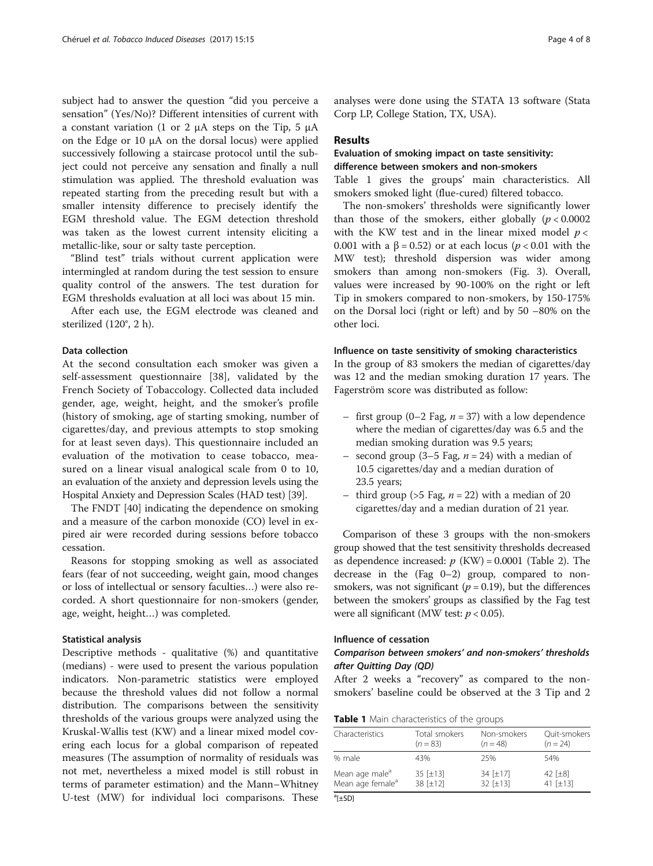subject had to answer the question "did you perceive a sensation" (Yes/No)? Different intensities of current with a constant variation (1 or 2 μA steps on the Tip, 5 μA on the Edge or 10 μA on the dorsal locus) were applied successively following a staircase protocol until the subject could not perceive any sensation and finally a null stimulation was applied. The threshold evaluation was repeated starting from the preceding result but with a smaller intensity difference to precisely identify the EGM threshold value. The EGM detection threshold was taken as the lowest current intensity eliciting a metallic-like, sour or salty taste perception.

"Blind test" trials without current application were intermingled at random during the test session to ensure quality control of the answers. The test duration for EGM thresholds evaluation at all loci was about 15 min.

After each use, the EGM electrode was cleaned and sterilized (120°, 2 h).

# Data collection

At the second consultation each smoker was given a self-assessment questionnaire [\[38](#page-7-0)], validated by the French Society of Tobaccology. Collected data included gender, age, weight, height, and the smoker's profile (history of smoking, age of starting smoking, number of cigarettes/day, and previous attempts to stop smoking for at least seven days). This questionnaire included an evaluation of the motivation to cease tobacco, measured on a linear visual analogical scale from 0 to 10, an evaluation of the anxiety and depression levels using the Hospital Anxiety and Depression Scales (HAD test) [[39](#page-7-0)].

The FNDT [\[40\]](#page-7-0) indicating the dependence on smoking and a measure of the carbon monoxide (CO) level in expired air were recorded during sessions before tobacco cessation.

Reasons for stopping smoking as well as associated fears (fear of not succeeding, weight gain, mood changes or loss of intellectual or sensory faculties…) were also recorded. A short questionnaire for non-smokers (gender, age, weight, height…) was completed.

### Statistical analysis

Descriptive methods - qualitative (%) and quantitative (medians) - were used to present the various population indicators. Non-parametric statistics were employed because the threshold values did not follow a normal distribution. The comparisons between the sensitivity thresholds of the various groups were analyzed using the Kruskal-Wallis test (KW) and a linear mixed model covering each locus for a global comparison of repeated measures (The assumption of normality of residuals was not met, nevertheless a mixed model is still robust in terms of parameter estimation) and the Mann–Whitney U-test (MW) for individual loci comparisons. These analyses were done using the STATA 13 software (Stata Corp LP, College Station, TX, USA).

### Results

# Evaluation of smoking impact on taste sensitivity: difference between smokers and non-smokers

Table 1 gives the groups' main characteristics. All smokers smoked light (flue-cured) filtered tobacco.

The non-smokers' thresholds were significantly lower than those of the smokers, either globally  $(p < 0.0002$ with the KW test and in the linear mixed model  $p <$ 0.001 with a  $\beta$  = 0.52) or at each locus (*p* < 0.01 with the MW test); threshold dispersion was wider among smokers than among non-smokers (Fig. [3\)](#page-4-0). Overall, values were increased by 90-100% on the right or left Tip in smokers compared to non-smokers, by 150-175% on the Dorsal loci (right or left) and by 50 –80% on the other loci.

### Influence on taste sensitivity of smoking characteristics

In the group of 83 smokers the median of cigarettes/day was 12 and the median smoking duration 17 years. The Fagerström score was distributed as follow:

- first group (0–2 Fag,  $n = 37$ ) with a low dependence where the median of cigarettes/day was 6.5 and the median smoking duration was 9.5 years;
- second group (3–5 Fag,  $n = 24$ ) with a median of 10.5 cigarettes/day and a median duration of 23.5 years;
- third group ( $>5$  Fag,  $n = 22$ ) with a median of 20 cigarettes/day and a median duration of 21 year.

Comparison of these 3 groups with the non-smokers group showed that the test sensitivity thresholds decreased as dependence increased:  $p$  (KW) = 0.0001 (Table [2\)](#page-4-0). The decrease in the (Fag 0–2) group, compared to nonsmokers, was not significant ( $p = 0.19$ ), but the differences between the smokers' groups as classified by the Fag test were all significant (MW test:  $p < 0.05$ ).

# Influence of cessation

# Comparison between smokers' and non-smokers' thresholds after Quitting Day (QD)

After 2 weeks a "recovery" as compared to the nonsmokers' baseline could be observed at the 3 Tip and 2

|  |  |  |  | Table 1 Main characteristics of the groups |  |  |  |  |
|--|--|--|--|--------------------------------------------|--|--|--|--|
|--|--|--|--|--------------------------------------------|--|--|--|--|

| Characteristics              | Total smokers | Non-smokers      | Ouit-smokers |
|------------------------------|---------------|------------------|--------------|
|                              | $(n = 83)$    | $(n = 48)$       | $(n = 24)$   |
| % male                       | 43%           | 25%              | 54%          |
| Mean age male <sup>a</sup>   | 35 [±13]      | 34 [±17]         | 42 $[±8]$    |
| Mean age female <sup>a</sup> | 38 [±12]      | $32$ [ $\pm$ 13] | 41 $[t13]$   |
| $3r \cdot 253$               |               |                  |              |

a [±SD]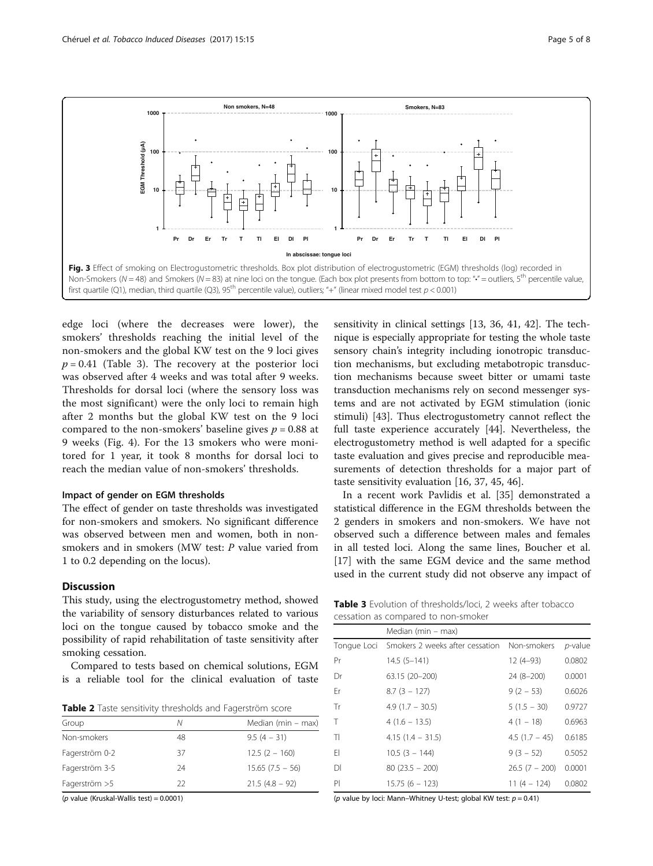<span id="page-4-0"></span>

edge loci (where the decreases were lower), the smokers' thresholds reaching the initial level of the non-smokers and the global KW test on the 9 loci gives  $p = 0.41$  (Table 3). The recovery at the posterior loci was observed after 4 weeks and was total after 9 weeks. Thresholds for dorsal loci (where the sensory loss was the most significant) were the only loci to remain high after 2 months but the global KW test on the 9 loci compared to the non-smokers' baseline gives  $p = 0.88$  at 9 weeks (Fig. [4](#page-5-0)). For the 13 smokers who were monitored for 1 year, it took 8 months for dorsal loci to reach the median value of non-smokers' thresholds.

### Impact of gender on EGM thresholds

The effect of gender on taste thresholds was investigated for non-smokers and smokers. No significant difference was observed between men and women, both in nonsmokers and in smokers (MW test: P value varied from 1 to 0.2 depending on the locus).

# Discussion

This study, using the electrogustometry method, showed the variability of sensory disturbances related to various loci on the tongue caused by tobacco smoke and the possibility of rapid rehabilitation of taste sensitivity after smoking cessation.

Compared to tests based on chemical solutions, EGM is a reliable tool for the clinical evaluation of taste

Table 2 Taste sensitivity thresholds and Fagerström score

| Group          | Ν  | Median ( $min - max$ ) |
|----------------|----|------------------------|
| Non-smokers    | 48 | $9.5(4 - 31)$          |
| Fagerström 0-2 | 37 | $12.5(2 - 160)$        |
| Fagerström 3-5 | 24 | $15.65(7.5 - 56)$      |
| Fagerström > 5 | フフ | $21.5(4.8 - 92)$       |

( $p$  value (Kruskal-Wallis test) = 0.0001)

sensitivity in clinical settings [\[13](#page-6-0), [36, 41, 42](#page-7-0)]. The technique is especially appropriate for testing the whole taste sensory chain's integrity including ionotropic transduction mechanisms, but excluding metabotropic transduction mechanisms because sweet bitter or umami taste transduction mechanisms rely on second messenger systems and are not activated by EGM stimulation (ionic stimuli) [\[43\]](#page-7-0). Thus electrogustometry cannot reflect the full taste experience accurately [[44\]](#page-7-0). Nevertheless, the electrogustometry method is well adapted for a specific taste evaluation and gives precise and reproducible measurements of detection thresholds for a major part of taste sensitivity evaluation [[16,](#page-6-0) [37, 45, 46](#page-7-0)].

In a recent work Pavlidis et al. [[35](#page-7-0)] demonstrated a statistical difference in the EGM thresholds between the 2 genders in smokers and non-smokers. We have not observed such a difference between males and females in all tested loci. Along the same lines, Boucher et al. [[17\]](#page-6-0) with the same EGM device and the same method used in the current study did not observe any impact of

Table 3 Evolution of thresholds/loci, 2 weeks after tobacco cessation as compared to non-smoker

|    | Median ( $min - max$ )                      |                 |         |
|----|---------------------------------------------|-----------------|---------|
|    | Tonque Loci Smokers 2 weeks after cessation | Non-smokers     | p-value |
| Pr | $14.5(5 - 141)$                             | $12(4-93)$      | 0.0802  |
| Dr | 63.15 (20-200)                              | $24(8-200)$     | 0.0001  |
| Fr | $8.7(3 - 127)$                              | $9(2 - 53)$     | 0.6026  |
| Tr | $4.9(1.7 - 30.5)$                           | $5(1.5 - 30)$   | 0.9727  |
| Т  | $4(1.6 - 13.5)$                             | $4(1 - 18)$     | 0.6963  |
| TI | $4.15(1.4 - 31.5)$                          | $4.5(1.7 - 45)$ | 0.6185  |
| FI | $10.5(3 - 144)$                             | $9(3 - 52)$     | 0.5052  |
| DΙ | $80(23.5 - 200)$                            | $26.5(7 - 200)$ | 0.0001  |
| PI | $15.75(6 - 123)$                            | $11(4 - 124)$   | 0.0802  |

(p value by loci: Mann–Whitney U-test; global KW test:  $p = 0.41$ )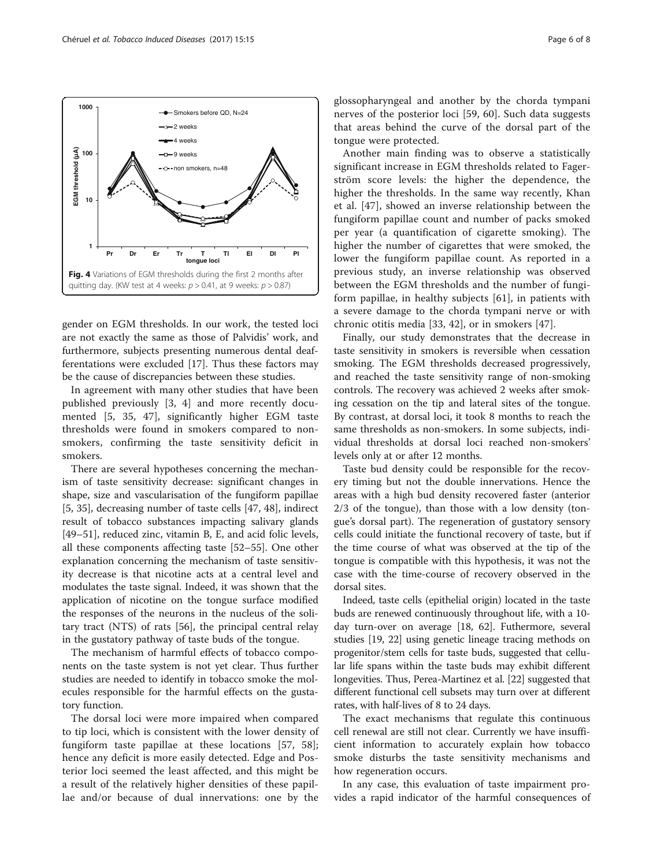gender on EGM thresholds. In our work, the tested loci are not exactly the same as those of Palvidis' work, and furthermore, subjects presenting numerous dental deafferentations were excluded [[17](#page-6-0)]. Thus these factors may be the cause of discrepancies between these studies.

In agreement with many other studies that have been published previously [[3, 4](#page-6-0)] and more recently documented [[5,](#page-6-0) [35, 47\]](#page-7-0), significantly higher EGM taste thresholds were found in smokers compared to nonsmokers, confirming the taste sensitivity deficit in smokers.

There are several hypotheses concerning the mechanism of taste sensitivity decrease: significant changes in shape, size and vascularisation of the fungiform papillae [[5,](#page-6-0) [35\]](#page-7-0), decreasing number of taste cells [\[47, 48\]](#page-7-0), indirect result of tobacco substances impacting salivary glands [[49](#page-7-0)–[51](#page-7-0)], reduced zinc, vitamin B, E, and acid folic levels, all these components affecting taste [\[52](#page-7-0)–[55\]](#page-7-0). One other explanation concerning the mechanism of taste sensitivity decrease is that nicotine acts at a central level and modulates the taste signal. Indeed, it was shown that the application of nicotine on the tongue surface modified the responses of the neurons in the nucleus of the solitary tract (NTS) of rats [\[56\]](#page-7-0), the principal central relay in the gustatory pathway of taste buds of the tongue.

The mechanism of harmful effects of tobacco components on the taste system is not yet clear. Thus further studies are needed to identify in tobacco smoke the molecules responsible for the harmful effects on the gustatory function.

The dorsal loci were more impaired when compared to tip loci, which is consistent with the lower density of fungiform taste papillae at these locations [[57, 58](#page-7-0)]; hence any deficit is more easily detected. Edge and Posterior loci seemed the least affected, and this might be a result of the relatively higher densities of these papillae and/or because of dual innervations: one by the glossopharyngeal and another by the chorda tympani nerves of the posterior loci [\[59](#page-7-0), [60\]](#page-7-0). Such data suggests that areas behind the curve of the dorsal part of the tongue were protected.

Another main finding was to observe a statistically significant increase in EGM thresholds related to Fagerström score levels: the higher the dependence, the higher the thresholds. In the same way recently, Khan et al. [[47\]](#page-7-0), showed an inverse relationship between the fungiform papillae count and number of packs smoked per year (a quantification of cigarette smoking). The higher the number of cigarettes that were smoked, the lower the fungiform papillae count. As reported in a previous study, an inverse relationship was observed between the EGM thresholds and the number of fungiform papillae, in healthy subjects [[61\]](#page-7-0), in patients with a severe damage to the chorda tympani nerve or with chronic otitis media [\[33](#page-7-0), [42\]](#page-7-0), or in smokers [[47\]](#page-7-0).

Finally, our study demonstrates that the decrease in taste sensitivity in smokers is reversible when cessation smoking. The EGM thresholds decreased progressively, and reached the taste sensitivity range of non-smoking controls. The recovery was achieved 2 weeks after smoking cessation on the tip and lateral sites of the tongue. By contrast, at dorsal loci, it took 8 months to reach the same thresholds as non-smokers. In some subjects, individual thresholds at dorsal loci reached non-smokers' levels only at or after 12 months.

Taste bud density could be responsible for the recovery timing but not the double innervations. Hence the areas with a high bud density recovered faster (anterior 2/3 of the tongue), than those with a low density (tongue's dorsal part). The regeneration of gustatory sensory cells could initiate the functional recovery of taste, but if the time course of what was observed at the tip of the tongue is compatible with this hypothesis, it was not the case with the time-course of recovery observed in the dorsal sites.

Indeed, taste cells (epithelial origin) located in the taste buds are renewed continuously throughout life, with a 10 day turn-over on average [\[18,](#page-6-0) [62](#page-7-0)]. Futhermore, several studies [\[19, 22\]](#page-6-0) using genetic lineage tracing methods on progenitor/stem cells for taste buds, suggested that cellular life spans within the taste buds may exhibit different longevities. Thus, Perea-Martinez et al. [\[22\]](#page-6-0) suggested that different functional cell subsets may turn over at different rates, with half-lives of 8 to 24 days.

The exact mechanisms that regulate this continuous cell renewal are still not clear. Currently we have insufficient information to accurately explain how tobacco smoke disturbs the taste sensitivity mechanisms and how regeneration occurs.

In any case, this evaluation of taste impairment provides a rapid indicator of the harmful consequences of

<span id="page-5-0"></span>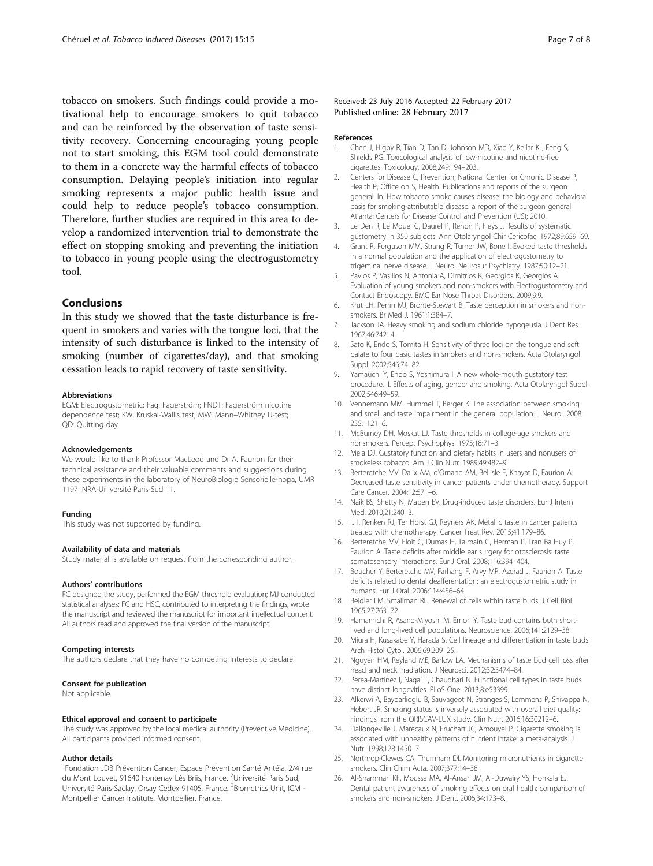<span id="page-6-0"></span>tobacco on smokers. Such findings could provide a motivational help to encourage smokers to quit tobacco and can be reinforced by the observation of taste sensitivity recovery. Concerning encouraging young people not to start smoking, this EGM tool could demonstrate to them in a concrete way the harmful effects of tobacco consumption. Delaying people's initiation into regular smoking represents a major public health issue and could help to reduce people's tobacco consumption. Therefore, further studies are required in this area to develop a randomized intervention trial to demonstrate the effect on stopping smoking and preventing the initiation to tobacco in young people using the electrogustometry tool.

### Conclusions

In this study we showed that the taste disturbance is frequent in smokers and varies with the tongue loci, that the intensity of such disturbance is linked to the intensity of smoking (number of cigarettes/day), and that smoking cessation leads to rapid recovery of taste sensitivity.

#### Abbreviations

EGM: Electrogustometric; Fag: Fagerström; FNDT: Fagerström nicotine dependence test; KW: Kruskal-Wallis test; MW: Mann–Whitney U-test; QD: Quitting day

#### Acknowledgements

We would like to thank Professor MacLeod and Dr A. Faurion for their technical assistance and their valuable comments and suggestions during these experiments in the laboratory of NeuroBiologie Sensorielle-nopa, UMR 1197 INRA-Université Paris-Sud 11.

#### Funding

This study was not supported by funding.

### Availability of data and materials

Study material is available on request from the corresponding author.

#### Authors' contributions

FC designed the study, performed the EGM threshold evaluation; MJ conducted statistical analyses; FC and HSC, contributed to interpreting the findings, wrote the manuscript and reviewed the manuscript for important intellectual content. All authors read and approved the final version of the manuscript.

#### Competing interests

The authors declare that they have no competing interests to declare.

#### Consent for publication

Not applicable.

#### Ethical approval and consent to participate

The study was approved by the local medical authority (Preventive Medicine). All participants provided informed consent.

#### Author details

<sup>1</sup>Fondation JDB Prévention Cancer, Espace Prévention Santé Antéïa, 2/4 rue du Mont Louvet, 91640 Fontenay Lès Briis, France. <sup>2</sup>Université Paris Sud, Université Paris-Saclay, Orsay Cedex 91405, France. <sup>3</sup>Biometrics Unit, ICM -Montpellier Cancer Institute, Montpellier, France.

### Received: 23 July 2016 Accepted: 22 February 2017 Published online: 28 February 2017

#### References

- 1. Chen J, Higby R, Tian D, Tan D, Johnson MD, Xiao Y, Kellar KJ, Feng S, Shields PG. Toxicological analysis of low-nicotine and nicotine-free cigarettes. Toxicology. 2008;249:194–203.
- 2. Centers for Disease C, Prevention, National Center for Chronic Disease P, Health P, Office on S, Health. Publications and reports of the surgeon general. In: How tobacco smoke causes disease: the biology and behavioral basis for smoking-attributable disease: a report of the surgeon general. Atlanta: Centers for Disease Control and Prevention (US); 2010.
- 3. Le Den R, Le Mouel C, Daurel P, Renon P, Fleys J. Results of systematic gustometry in 350 subjects. Ann Otolaryngol Chir Cericofac. 1972;89:659–69.
- 4. Grant R, Ferguson MM, Strang R, Turner JW, Bone I. Evoked taste thresholds in a normal population and the application of electrogustometry to trigeminal nerve disease. J Neurol Neurosur Psychiatry. 1987;50:12–21.
- 5. Pavlos P, Vasilios N, Antonia A, Dimitrios K, Georgios K, Georgios A. Evaluation of young smokers and non-smokers with Electrogustometry and Contact Endoscopy. BMC Ear Nose Throat Disorders. 2009;9:9.
- 6. Krut LH, Perrin MJ, Bronte-Stewart B. Taste perception in smokers and nonsmokers. Br Med J. 1961;1:384–7.
- 7. Jackson JA. Heavy smoking and sodium chloride hypogeusia. J Dent Res. 1967;46:742–4.
- 8. Sato K, Endo S, Tomita H. Sensitivity of three loci on the tongue and soft palate to four basic tastes in smokers and non-smokers. Acta Otolaryngol Suppl. 2002;546:74–82.
- 9. Yamauchi Y, Endo S, Yoshimura I. A new whole-mouth gustatory test procedure. II. Effects of aging, gender and smoking. Acta Otolaryngol Suppl. 2002;546:49–59.
- 10. Vennemann MM, Hummel T, Berger K. The association between smoking and smell and taste impairment in the general population. J Neurol. 2008; 255:1121–6.
- 11. McBurney DH, Moskat LJ. Taste thresholds in college-age smokers and nonsmokers. Percept Psychophys. 1975;18:71–3.
- 12. Mela DJ. Gustatory function and dietary habits in users and nonusers of smokeless tobacco. Am J Clin Nutr. 1989;49:482–9.
- 13. Berteretche MV, Dalix AM, d'Ornano AM, Bellisle F, Khayat D, Faurion A. Decreased taste sensitivity in cancer patients under chemotherapy. Support Care Cancer. 2004;12:571–6.
- 14. Naik BS, Shetty N, Maben EV. Drug-induced taste disorders. Eur J Intern Med. 2010;21:240–3.
- 15. IJ I, Renken RJ, Ter Horst GJ, Reyners AK. Metallic taste in cancer patients treated with chemotherapy. Cancer Treat Rev. 2015;41:179–86.
- 16. Berteretche MV, Eloit C, Dumas H, Talmain G, Herman P, Tran Ba Huy P, Faurion A. Taste deficits after middle ear surgery for otosclerosis: taste somatosensory interactions. Eur J Oral. 2008;116:394–404.
- 17. Boucher Y, Berteretche MV, Farhang F, Arvy MP, Azerad J, Faurion A. Taste deficits related to dental deafferentation: an electrogustometric study in humans. Eur J Oral. 2006;114:456–64.
- 18. Beidler LM, Smallman RL. Renewal of cells within taste buds. J Cell Biol. 1965;27:263–72.
- 19. Hamamichi R, Asano-Miyoshi M, Emori Y. Taste bud contains both shortlived and long-lived cell populations. Neuroscience. 2006;141:2129–38.
- 20. Miura H, Kusakabe Y, Harada S. Cell lineage and differentiation in taste buds. Arch Histol Cytol. 2006;69:209–25.
- 21. Nguyen HM, Reyland ME, Barlow LA. Mechanisms of taste bud cell loss after head and neck irradiation. J Neurosci. 2012;32:3474–84.
- 22. Perea-Martinez I, Nagai T, Chaudhari N. Functional cell types in taste buds have distinct longevities. PLoS One. 2013;8:e53399.
- 23. Alkerwi A, Baydarlioglu B, Sauvageot N, Stranges S, Lemmens P, Shivappa N, Hebert JR. Smoking status is inversely associated with overall diet quality: Findings from the ORISCAV-LUX study. Clin Nutr. 2016;16:30212–6.
- 24. Dallongeville J, Marecaux N, Fruchart JC, Amouyel P. Cigarette smoking is associated with unhealthy patterns of nutrient intake: a meta-analysis. J Nutr. 1998;128:1450–7.
- 25. Northrop-Clewes CA, Thurnham DI. Monitoring micronutrients in cigarette smokers. Clin Chim Acta. 2007;377:14–38.
- 26. Al-Shammari KF, Moussa MA, Al-Ansari JM, Al-Duwairy YS, Honkala EJ. Dental patient awareness of smoking effects on oral health: comparison of smokers and non-smokers. J Dent. 2006;34:173–8.